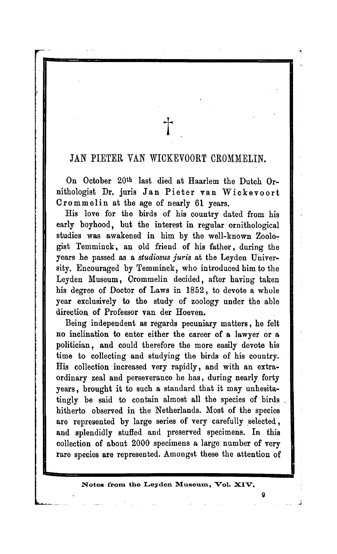## Jan Pieter van Wickevoort Crommelin

On October 20th last died at Haarlem the Dutch Ornithologist Dr. juris Jan Pieter van Wickevoort Crommelin at the age of nearly <sup>61</sup> years.

His love for the birds of his country dated from his early boyhood, but the interest in regular ornithological studies was awakened in him by the well-known Zoologist Temminck, an old friend of his father, during the years he passed as a studiosus juris at the Leyden University. Encouraged by Temminck, who introduced him to the Leyden Museum, Crommelin decided, after having taken his degree of Doctor of Laws in 1852, to devote <sup>a</sup> whole year exclusively to the study of zoology under the able direction of Professor van der Hoeven.

Being independent as regards pecuniary matters, he felt no inclination to enter either the career of <sup>a</sup> lawyer or <sup>a</sup> politician, and could therefore the more easily devote his time to collecting and studying the birds of his country. His collection increased very rapidly, and with an extraordinary zeal and perseverance he has, during nearly forty years, brought it to such <sup>a</sup> standard that it may unhesitatingly be said to contain almost all the species of birds hitherto observed in the Netherlands. Most of the species are represented by large series of very carefully selected, and splendidly stuffed and preserved specimens. In this collection of about <sup>2000</sup> specimens <sup>a</sup> large number of very rare species are represented. Amongst these the attention of

Notes from the Leyden Museum, Vol. XIV.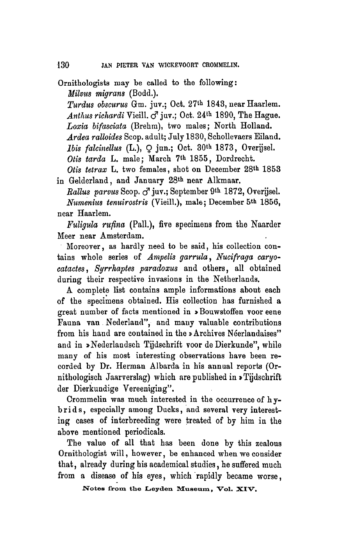Ornithologists may be called to the following: Milvus migrans (Bodd.).

Turdus obscurus Gm. juv.; Oct. 27<sup>th</sup> 1843, near Haarlem. Anthus richardi Vieill.  $\vec{C}$  juv.; Oct. 24<sup>th</sup> 1890, The Hague. Loxia bifasciata (Brehm), two males; North Holland. Ardea ralloides Scop, adult; July 1830, Schollevaers Eiland. Ibis falcinellus (L.), Q jun.; Oct. 30th 1873, Overijsel Otis tarda L. male; March 7th 1855, Dordrecht. Otis tetrax  $L.$  two females, shot on December 28<sup>th</sup> 1853

in Gelderland, and January 28th near Alkmaar. Rallus parvus Scop.  $\sigma$  juv.; September 9th 1872, Overijsel.

Numenius tenuirostris (Vieill.), male; December 5<sup>th</sup> 1856, near Haarlem.

Fuligula rufina (Pall.), five specimens from the Naarder Meer near Amsterdam.

Moreover, as hardly need to be said, his collection contains whole series of Ampelis garrula, Nucifraga caryocatactes, Syrrhaptes paradoxus and others, all obtained during their respective invasions in the Netherlands.

A complete list contains ample informations about each of the specimens obtained. His collection has furnished a great number of facts mentioned in » Bouwstoffen voor eene Fauna van Nederland", and many valuable contributions from his hand are contained in the »Archives Néerlandaises" and in »Nederlandsch Tijdschrift voor de Dierkunde", while many of his most interesting observations have been recorded by Dr. Herman Albarda in his annual reports (Ornithologisch Jaarverslag) which are published in »Tijdschrift der Dierkundige Vereeniging".

Crommelin was much interested in the occurrence of hybrids, especially among Ducks, and several very interesting cases of interbreeding were treated of by him in the above mentioned periodicals.

The value of all that has been done by this zealous Ornithologist will, however, be enhanced when we consider that, already during his academical studies, he suffered much from <sup>a</sup> disease of his eyes, which rapidly became worse,

Notes from the Leyden Museum, Vol. XIV.